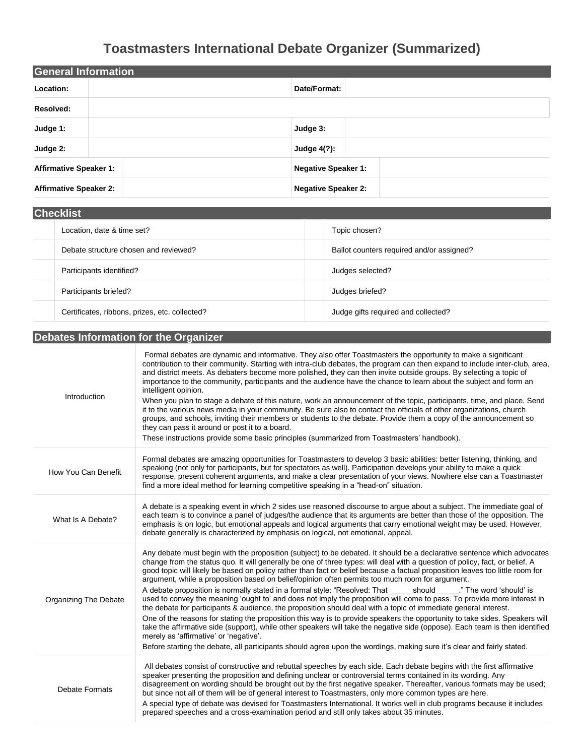# **Toastmasters International Debate Organizer (Summarized)**

| General Information           |                            |
|-------------------------------|----------------------------|
| Location:                     | Date/Format:               |
| Resolved:                     |                            |
| Judge 1:                      | Judge 3:                   |
| Judge 2:                      | <b>Judge 4(?):</b>         |
| <b>Affirmative Speaker 1:</b> | <b>Negative Speaker 1:</b> |
| <b>Affirmative Speaker 2:</b> | <b>Negative Speaker 2:</b> |

| <b>Checklist</b>                               |                                           |  |
|------------------------------------------------|-------------------------------------------|--|
| Location, date & time set?                     | Topic chosen?                             |  |
| Debate structure chosen and reviewed?          | Ballot counters required and/or assigned? |  |
| Participants identified?                       | Judges selected?                          |  |
| Participants briefed?                          | Judges briefed?                           |  |
| Certificates, ribbons, prizes, etc. collected? | Judge gifts required and collected?       |  |

## **Debates Information for the Organizer**

| Introduction                 | Formal debates are dynamic and informative. They also offer Toastmasters the opportunity to make a significant<br>contribution to their community. Starting with intra-club debates, the program can then expand to include inter-club, area,<br>and district meets. As debaters become more polished, they can then invite outside groups. By selecting a topic of<br>importance to the community, participants and the audience have the chance to learn about the subject and form an<br>intelligent opinion.<br>When you plan to stage a debate of this nature, work an announcement of the topic, participants, time, and place. Send<br>it to the various news media in your community. Be sure also to contact the officials of other organizations, church<br>groups, and schools, inviting their members or students to the debate. Provide them a copy of the announcement so<br>they can pass it around or post it to a board.<br>These instructions provide some basic principles (summarized from Toastmasters' handbook).                                                                                                                                                                                                                                                 |
|------------------------------|-----------------------------------------------------------------------------------------------------------------------------------------------------------------------------------------------------------------------------------------------------------------------------------------------------------------------------------------------------------------------------------------------------------------------------------------------------------------------------------------------------------------------------------------------------------------------------------------------------------------------------------------------------------------------------------------------------------------------------------------------------------------------------------------------------------------------------------------------------------------------------------------------------------------------------------------------------------------------------------------------------------------------------------------------------------------------------------------------------------------------------------------------------------------------------------------------------------------------------------------------------------------------------------------|
| How You Can Benefit          | Formal debates are amazing opportunities for Toastmasters to develop 3 basic abilities: better listening, thinking, and<br>speaking (not only for participants, but for spectators as well). Participation develops your ability to make a quick<br>response, present coherent arguments, and make a clear presentation of your views. Nowhere else can a Toastmaster<br>find a more ideal method for learning competitive speaking in a "head-on" situation.                                                                                                                                                                                                                                                                                                                                                                                                                                                                                                                                                                                                                                                                                                                                                                                                                           |
| What Is A Debate?            | A debate is a speaking event in which 2 sides use reasoned discourse to argue about a subject. The immediate goal of<br>each team is to convince a panel of judges/the audience that its arguments are better than those of the opposition. The<br>emphasis is on logic, but emotional appeals and logical arguments that carry emotional weight may be used. However,<br>debate generally is characterized by emphasis on logical, not emotional, appeal.                                                                                                                                                                                                                                                                                                                                                                                                                                                                                                                                                                                                                                                                                                                                                                                                                              |
| <b>Organizing The Debate</b> | Any debate must begin with the proposition (subject) to be debated. It should be a declarative sentence which advocates<br>change from the status quo. It will generally be one of three types: will deal with a question of policy, fact, or belief. A<br>good topic will likely be based on policy rather than fact or belief because a factual proposition leaves too little room for<br>argument, while a proposition based on belief/opinion often permits too much room for argument.<br>A debate proposition is normally stated in a formal style: "Resolved: That should "The word 'should' is<br>used to convey the meaning 'ought to' and does not imply the proposition will come to pass. To provide more interest in<br>the debate for participants & audience, the proposition should deal with a topic of immediate general interest.<br>One of the reasons for stating the proposition this way is to provide speakers the opportunity to take sides. Speakers will<br>take the affirmative side (support), while other speakers will take the negative side (oppose). Each team is then identified<br>merely as 'affirmative' or 'negative'.<br>Before starting the debate, all participants should agree upon the wordings, making sure it's clear and fairly stated. |
| <b>Debate Formats</b>        | All debates consist of constructive and rebuttal speeches by each side. Each debate begins with the first affirmative<br>speaker presenting the proposition and defining unclear or controversial terms contained in its wording. Any<br>disagreement on wording should be brought out by the first negative speaker. Thereafter, various formats may be used;<br>but since not all of them will be of general interest to Toastmasters, only more common types are here.<br>A special type of debate was devised for Toastmasters International. It works well in club programs because it includes<br>prepared speeches and a cross-examination period and still only takes about 35 minutes.                                                                                                                                                                                                                                                                                                                                                                                                                                                                                                                                                                                         |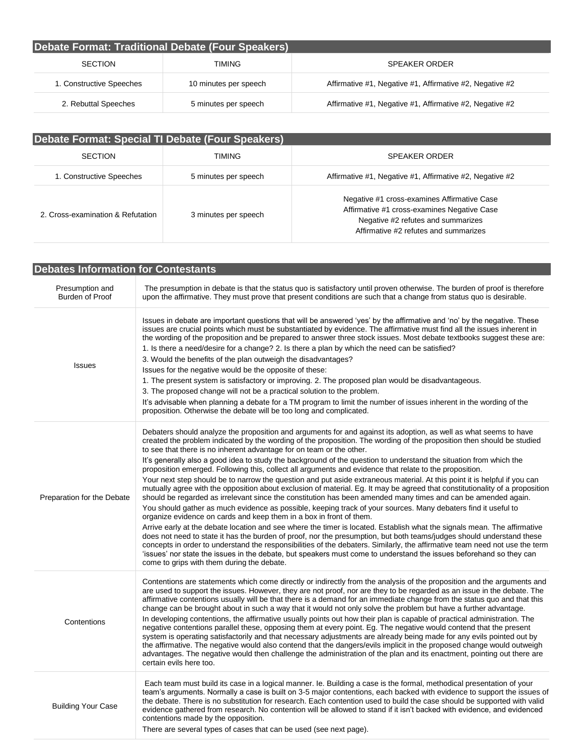| Debate Format: Traditional Debate (Four Speakers) |                       |                                                          |
|---------------------------------------------------|-----------------------|----------------------------------------------------------|
| <b>SECTION</b>                                    | TIMING                | <b>SPEAKER ORDER</b>                                     |
| 1. Constructive Speeches                          | 10 minutes per speech | Affirmative #1, Negative #1, Affirmative #2, Negative #2 |
| 2. Rebuttal Speeches                              | 5 minutes per speech  | Affirmative #1, Negative #1, Affirmative #2, Negative #2 |

| Debate Format: Special TI Debate (Four Speakers) |                      |                                                                                                                                                                           |
|--------------------------------------------------|----------------------|---------------------------------------------------------------------------------------------------------------------------------------------------------------------------|
| <b>SECTION</b>                                   | TIMING               | <b>SPEAKER ORDER</b>                                                                                                                                                      |
| 1. Constructive Speeches                         | 5 minutes per speech | Affirmative #1, Negative #1, Affirmative #2, Negative #2                                                                                                                  |
| 2. Cross-examination & Refutation                | 3 minutes per speech | Negative #1 cross-examines Affirmative Case<br>Affirmative #1 cross-examines Negative Case<br>Negative #2 refutes and summarizes<br>Affirmative #2 refutes and summarizes |

| <b>Debates Information for Contestants</b> |                                                                                                                                                                                                                                                                                                                                                                                                                                                                                                                                                                                                                                                                                                                                                                                                                                                                                                                                                                                                                                                                                                                                                                                                                                                                                                                                                                                                                                                                                                                                                                                                                                                                                      |  |
|--------------------------------------------|--------------------------------------------------------------------------------------------------------------------------------------------------------------------------------------------------------------------------------------------------------------------------------------------------------------------------------------------------------------------------------------------------------------------------------------------------------------------------------------------------------------------------------------------------------------------------------------------------------------------------------------------------------------------------------------------------------------------------------------------------------------------------------------------------------------------------------------------------------------------------------------------------------------------------------------------------------------------------------------------------------------------------------------------------------------------------------------------------------------------------------------------------------------------------------------------------------------------------------------------------------------------------------------------------------------------------------------------------------------------------------------------------------------------------------------------------------------------------------------------------------------------------------------------------------------------------------------------------------------------------------------------------------------------------------------|--|
| Presumption and<br>Burden of Proof         | The presumption in debate is that the status quo is satisfactory until proven otherwise. The burden of proof is therefore<br>upon the affirmative. They must prove that present conditions are such that a change from status quo is desirable.                                                                                                                                                                                                                                                                                                                                                                                                                                                                                                                                                                                                                                                                                                                                                                                                                                                                                                                                                                                                                                                                                                                                                                                                                                                                                                                                                                                                                                      |  |
| <b>Issues</b>                              | Issues in debate are important questions that will be answered 'yes' by the affirmative and 'no' by the negative. These<br>issues are crucial points which must be substantiated by evidence. The affirmative must find all the issues inherent in<br>the wording of the proposition and be prepared to answer three stock issues. Most debate textbooks suggest these are:<br>1. Is there a need/desire for a change? 2. Is there a plan by which the need can be satisfied?<br>3. Would the benefits of the plan outweigh the disadvantages?<br>Issues for the negative would be the opposite of these:<br>1. The present system is satisfactory or improving. 2. The proposed plan would be disadvantageous.<br>3. The proposed change will not be a practical solution to the problem.<br>It's advisable when planning a debate for a TM program to limit the number of issues inherent in the wording of the<br>proposition. Otherwise the debate will be too long and complicated.                                                                                                                                                                                                                                                                                                                                                                                                                                                                                                                                                                                                                                                                                             |  |
| Preparation for the Debate                 | Debaters should analyze the proposition and arguments for and against its adoption, as well as what seems to have<br>created the problem indicated by the wording of the proposition. The wording of the proposition then should be studied<br>to see that there is no inherent advantage for on team or the other.<br>It's generally also a good idea to study the background of the question to understand the situation from which the<br>proposition emerged. Following this, collect all arguments and evidence that relate to the proposition.<br>Your next step should be to narrow the question and put aside extraneous material. At this point it is helpful if you can<br>mutually agree with the opposition about exclusion of material. Eg. It may be agreed that constitutionality of a proposition<br>should be regarded as irrelevant since the constitution has been amended many times and can be amended again.<br>You should gather as much evidence as possible, keeping track of your sources. Many debaters find it useful to<br>organize evidence on cards and keep them in a box in front of them.<br>Arrive early at the debate location and see where the timer is located. Establish what the signals mean. The affirmative<br>does not need to state it has the burden of proof, nor the presumption, but both teams/judges should understand these<br>concepts in order to understand the responsibilities of the debaters. Similarly, the affirmative team need not use the term<br>'issues' nor state the issues in the debate, but speakers must come to understand the issues beforehand so they can<br>come to grips with them during the debate. |  |
| Contentions                                | Contentions are statements which come directly or indirectly from the analysis of the proposition and the arguments and<br>are used to support the issues. However, they are not proof, nor are they to be regarded as an issue in the debate. The<br>affirmative contentions usually will be that there is a demand for an immediate change from the status quo and that this<br>change can be brought about in such a way that it would not only solve the problem but have a further advantage.<br>In developing contentions, the affirmative usually points out how their plan is capable of practical administration. The<br>negative contentions parallel these, opposing them at every point. Eg. The negative would contend that the present<br>system is operating satisfactorily and that necessary adjustments are already being made for any evils pointed out by<br>the affirmative. The negative would also contend that the dangers/evils implicit in the proposed change would outweigh<br>advantages. The negative would then challenge the administration of the plan and its enactment, pointing out there are<br>certain evils here too.                                                                                                                                                                                                                                                                                                                                                                                                                                                                                                                         |  |
| <b>Building Your Case</b>                  | Each team must build its case in a logical manner. Ie. Building a case is the formal, methodical presentation of your<br>team's arguments. Normally a case is built on 3-5 major contentions, each backed with evidence to support the issues of<br>the debate. There is no substitution for research. Each contention used to build the case should be supported with valid<br>evidence gathered from research. No contention will be allowed to stand if it isn't backed with evidence, and evidenced<br>contentions made by the opposition.<br>There are several types of cases that can be used (see next page).                                                                                                                                                                                                                                                                                                                                                                                                                                                                                                                                                                                                                                                                                                                                                                                                                                                                                                                                                                                                                                                                 |  |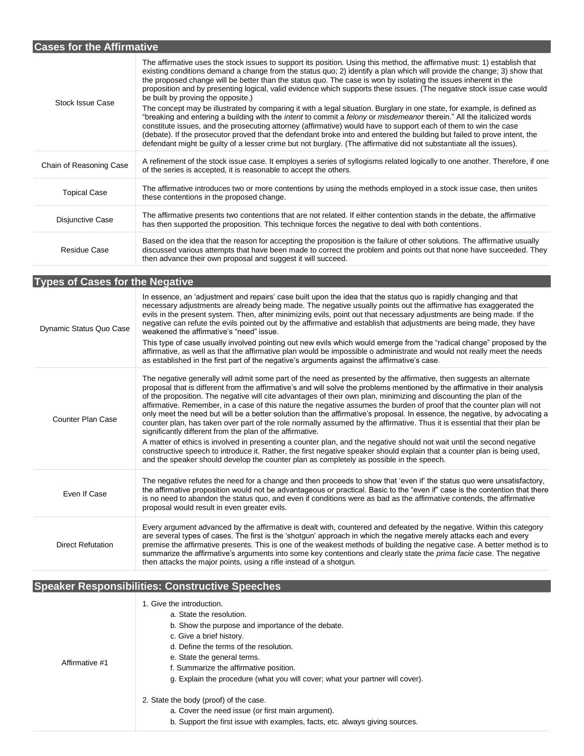| <b>Cases for the Affirmative</b> |                                                                                                                                                                                                                                                                                                                                                                                                                                                                                                                                                                                                                                                  |  |
|----------------------------------|--------------------------------------------------------------------------------------------------------------------------------------------------------------------------------------------------------------------------------------------------------------------------------------------------------------------------------------------------------------------------------------------------------------------------------------------------------------------------------------------------------------------------------------------------------------------------------------------------------------------------------------------------|--|
| <b>Stock Issue Case</b>          | The affirmative uses the stock issues to support its position. Using this method, the affirmative must: 1) establish that<br>existing conditions demand a change from the status quo; 2) identify a plan which will provide the change; 3) show that<br>the proposed change will be better than the status quo. The case is won by isolating the issues inherent in the<br>proposition and by presenting logical, valid evidence which supports these issues. (The negative stock issue case would<br>be built by proving the opposite.)                                                                                                         |  |
|                                  | The concept may be illustrated by comparing it with a legal situation. Burglary in one state, for example, is defined as<br>"breaking and entering a building with the <i>intent</i> to commit a <i>felony</i> or <i>misdemeanor</i> therein." All the italicized words<br>constitute issues, and the prosecuting attorney (affirmative) would have to support each of them to win the case<br>(debate). If the prosecutor proved that the defendant broke into and entered the building but failed to prove intent, the<br>defendant might be guilty of a lesser crime but not burglary. (The affirmative did not substantiate all the issues). |  |
| Chain of Reasoning Case          | A refinement of the stock issue case. It employes a series of syllogisms related logically to one another. Therefore, if one<br>of the series is accepted, it is reasonable to accept the others.                                                                                                                                                                                                                                                                                                                                                                                                                                                |  |
| <b>Topical Case</b>              | The affirmative introduces two or more contentions by using the methods employed in a stock issue case, then unites<br>these contentions in the proposed change.                                                                                                                                                                                                                                                                                                                                                                                                                                                                                 |  |
| Disjunctive Case                 | The affirmative presents two contentions that are not related. If either contention stands in the debate, the affirmative<br>has then supported the proposition. This technique forces the negative to deal with both contentions.                                                                                                                                                                                                                                                                                                                                                                                                               |  |
| Residue Case                     | Based on the idea that the reason for accepting the proposition is the failure of other solutions. The affirmative usually<br>discussed various attempts that have been made to correct the problem and points out that none have succeeded. They<br>then advance their own proposal and suggest it will succeed.                                                                                                                                                                                                                                                                                                                                |  |

**Types of Cases for the Negative**

| Dynamic Status Quo Case  | In essence, an 'adjustment and repairs' case built upon the idea that the status quo is rapidly changing and that<br>necessary adjustments are already being made. The negative usually points out the affirmative has exaggerated the<br>evils in the present system. Then, after minimizing evils, point out that necessary adjustments are being made. If the<br>negative can refute the evils pointed out by the affirmative and establish that adjustments are being made, they have<br>weakened the affirmative's "need" issue.<br>This type of case usually involved pointing out new evils which would emerge from the "radical change" proposed by the<br>affirmative, as well as that the affirmative plan would be impossible o administrate and would not really meet the needs<br>as established in the first part of the negative's arguments against the affirmative's case.                                                                                                                                                                                                                                                                                         |
|--------------------------|-------------------------------------------------------------------------------------------------------------------------------------------------------------------------------------------------------------------------------------------------------------------------------------------------------------------------------------------------------------------------------------------------------------------------------------------------------------------------------------------------------------------------------------------------------------------------------------------------------------------------------------------------------------------------------------------------------------------------------------------------------------------------------------------------------------------------------------------------------------------------------------------------------------------------------------------------------------------------------------------------------------------------------------------------------------------------------------------------------------------------------------------------------------------------------------|
| <b>Counter Plan Case</b> | The negative generally will admit some part of the need as presented by the affirmative, then suggests an alternate<br>proposal that is different from the affirmative's and will solve the problems mentioned by the affirmative in their analysis<br>of the proposition. The negative will cite advantages of their own plan, minimizing and discounting the plan of the<br>affirmative. Remember, in a case of this nature the negative assumes the burden of proof that the counter plan will not<br>only meet the need but will be a better solution than the affirmative's proposal. In essence, the negative, by advocating a<br>counter plan, has taken over part of the role normally assumed by the affirmative. Thus it is essential that their plan be<br>significantly different from the plan of the affirmative.<br>A matter of ethics is involved in presenting a counter plan, and the negative should not wait until the second negative<br>constructive speech to introduce it. Rather, the first negative speaker should explain that a counter plan is being used,<br>and the speaker should develop the counter plan as completely as possible in the speech. |
| Even If Case             | The negative refutes the need for a change and then proceeds to show that 'even if' the status quo were unsatisfactory,<br>the affirmative proposition would not be advantageous or practical. Basic to the "even if" case is the contention that there<br>is no need to abandon the status quo, and even if conditions were as bad as the affirmative contends, the affirmative<br>proposal would result in even greater evils.                                                                                                                                                                                                                                                                                                                                                                                                                                                                                                                                                                                                                                                                                                                                                    |
| <b>Direct Refutation</b> | Every argument advanced by the affirmative is dealt with, countered and defeated by the negative. Within this category<br>are several types of cases. The first is the 'shotgun' approach in which the negative merely attacks each and every<br>premise the affirmative presents. This is one of the weakest methods of building the negative case. A better method is to<br>summarize the affirmative's arguments into some key contentions and clearly state the <i>prima facie</i> case. The negative<br>then attacks the major points, using a rifle instead of a shotgun.                                                                                                                                                                                                                                                                                                                                                                                                                                                                                                                                                                                                     |

## **Speaker Responsibilities: Constructive Speeches**

| Affirmative #1 | 1. Give the introduction.<br>a. State the resolution.<br>b. Show the purpose and importance of the debate.<br>c. Give a brief history.<br>d. Define the terms of the resolution.<br>e. State the general terms.<br>f. Summarize the affirmative position.<br>g. Explain the procedure (what you will cover; what your partner will cover). |
|----------------|--------------------------------------------------------------------------------------------------------------------------------------------------------------------------------------------------------------------------------------------------------------------------------------------------------------------------------------------|
|                | 2. State the body (proof) of the case.<br>a. Cover the need issue (or first main argument).<br>b. Support the first issue with examples, facts, etc. always giving sources.                                                                                                                                                                |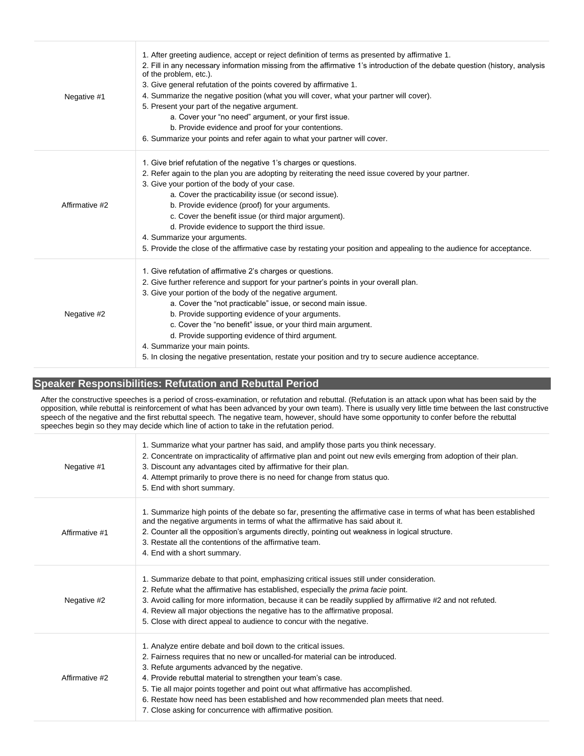| Negative #1    | 1. After greeting audience, accept or reject definition of terms as presented by affirmative 1.<br>2. Fill in any necessary information missing from the affirmative 1's introduction of the debate question (history, analysis<br>of the problem, etc.).<br>3. Give general refutation of the points covered by affirmative 1.<br>4. Summarize the negative position (what you will cover, what your partner will cover).<br>5. Present your part of the negative argument.<br>a. Cover your "no need" argument, or your first issue.<br>b. Provide evidence and proof for your contentions.<br>6. Summarize your points and refer again to what your partner will cover. |
|----------------|----------------------------------------------------------------------------------------------------------------------------------------------------------------------------------------------------------------------------------------------------------------------------------------------------------------------------------------------------------------------------------------------------------------------------------------------------------------------------------------------------------------------------------------------------------------------------------------------------------------------------------------------------------------------------|
| Affirmative #2 | 1. Give brief refutation of the negative 1's charges or questions.<br>2. Refer again to the plan you are adopting by reiterating the need issue covered by your partner.<br>3. Give your portion of the body of your case.<br>a. Cover the practicability issue (or second issue).<br>b. Provide evidence (proof) for your arguments.<br>c. Cover the benefit issue (or third major argument).<br>d. Provide evidence to support the third issue.<br>4. Summarize your arguments.<br>5. Provide the close of the affirmative case by restating your position and appealing to the audience for acceptance.                                                                 |
| Negative #2    | 1. Give refutation of affirmative 2's charges or questions.<br>2. Give further reference and support for your partner's points in your overall plan.<br>3. Give your portion of the body of the negative argument.<br>a. Cover the "not practicable" issue, or second main issue.<br>b. Provide supporting evidence of your arguments.<br>c. Cover the "no benefit" issue, or your third main argument.<br>d. Provide supporting evidence of third argument.<br>4. Summarize your main points.<br>5. In closing the negative presentation, restate your position and try to secure audience acceptance.                                                                    |

### **Speaker Responsibilities: Refutation and Rebuttal Period**

After the constructive speeches is a period of cross-examination, or refutation and rebuttal. (Refutation is an attack upon what has been said by the opposition, while rebuttal is reinforcement of what has been advanced by your own team). There is usually very little time between the last constructive speech of the negative and the first rebuttal speech. The negative team, however, should have some opportunity to confer before the rebuttal speeches begin so they may decide which line of action to take in the refutation period.

| Negative #1    | 1. Summarize what your partner has said, and amplify those parts you think necessary.<br>2. Concentrate on impracticality of affirmative plan and point out new evils emerging from adoption of their plan.<br>3. Discount any advantages cited by affirmative for their plan.<br>4. Attempt primarily to prove there is no need for change from status quo.<br>5. End with short summary.                                                                                                               |
|----------------|----------------------------------------------------------------------------------------------------------------------------------------------------------------------------------------------------------------------------------------------------------------------------------------------------------------------------------------------------------------------------------------------------------------------------------------------------------------------------------------------------------|
| Affirmative #1 | 1. Summarize high points of the debate so far, presenting the affirmative case in terms of what has been established<br>and the negative arguments in terms of what the affirmative has said about it.<br>2. Counter all the opposition's arguments directly, pointing out weakness in logical structure.<br>3. Restate all the contentions of the affirmative team.<br>4. End with a short summary.                                                                                                     |
| Negative #2    | 1. Summarize debate to that point, emphasizing critical issues still under consideration.<br>2. Refute what the affirmative has established, especially the prima facie point.<br>3. Avoid calling for more information, because it can be readily supplied by affirmative #2 and not refuted.<br>4. Review all major objections the negative has to the affirmative proposal.<br>5. Close with direct appeal to audience to concur with the negative.                                                   |
| Affirmative #2 | 1. Analyze entire debate and boil down to the critical issues.<br>2. Fairness requires that no new or uncalled-for material can be introduced.<br>3. Refute arguments advanced by the negative.<br>4. Provide rebuttal material to strengthen your team's case.<br>5. Tie all major points together and point out what affirmative has accomplished.<br>6. Restate how need has been established and how recommended plan meets that need.<br>7. Close asking for concurrence with affirmative position. |